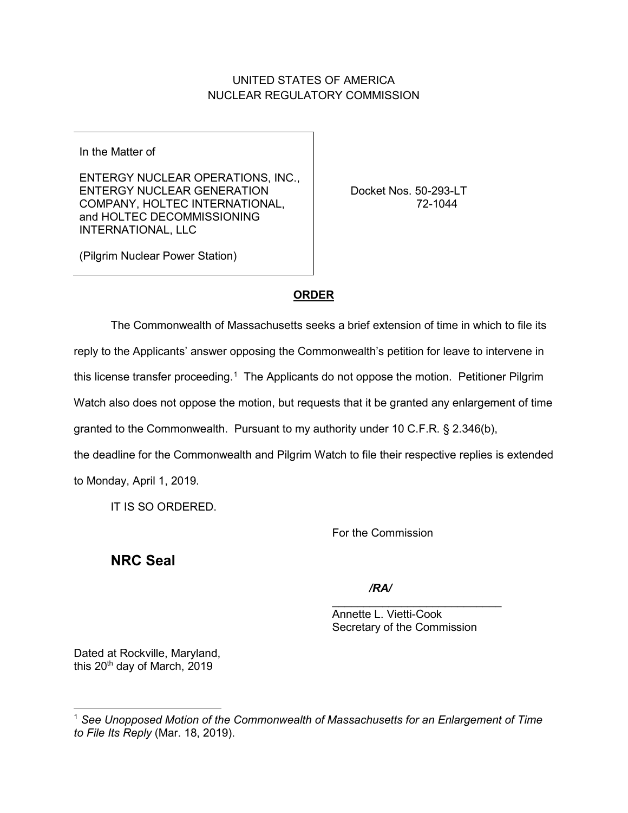## UNITED STATES OF AMERICA NUCLEAR REGULATORY COMMISSION

In the Matter of

ENTERGY NUCLEAR OPERATIONS, INC., ENTERGY NUCLEAR GENERATION COMPANY, HOLTEC INTERNATIONAL, and HOLTEC DECOMMISSIONING INTERNATIONAL, LLC

 Docket Nos. 50-293-LT 72-1044

(Pilgrim Nuclear Power Station)

## **ORDER**

 The Commonwealth of Massachusetts seeks a brief extension of time in which to file its reply to the Applicants' answer opposing the Commonwealth's petition for leave to intervene in this license transfer proceeding.<sup>[1](#page-0-0)</sup> The Applicants do not oppose the motion. Petitioner Pilgrim Watch also does not oppose the motion, but requests that it be granted any enlargement of time granted to the Commonwealth. Pursuant to my authority under 10 C.F.R. § 2.346(b),

the deadline for the Commonwealth and Pilgrim Watch to file their respective replies is extended to Monday, April 1, 2019.

IT IS SO ORDERED.

For the Commission

**NRC Seal**

*/RA/*

 $\frac{1}{\sqrt{2}}$  ,  $\frac{1}{\sqrt{2}}$  ,  $\frac{1}{\sqrt{2}}$  ,  $\frac{1}{\sqrt{2}}$  ,  $\frac{1}{\sqrt{2}}$  ,  $\frac{1}{\sqrt{2}}$  ,  $\frac{1}{\sqrt{2}}$  ,  $\frac{1}{\sqrt{2}}$  ,  $\frac{1}{\sqrt{2}}$  ,  $\frac{1}{\sqrt{2}}$  ,  $\frac{1}{\sqrt{2}}$  ,  $\frac{1}{\sqrt{2}}$  ,  $\frac{1}{\sqrt{2}}$  ,  $\frac{1}{\sqrt{2}}$  ,  $\frac{1}{\sqrt{2}}$  Annette L. Vietti-Cook Secretary of the Commission

Dated at Rockville, Maryland, this 20<sup>th</sup> day of March, 2019

 $\overline{a}$ 

<span id="page-0-0"></span><sup>1</sup> *See Unopposed Motion of the Commonwealth of Massachusetts for an Enlargement of Time to File Its Reply* (Mar. 18, 2019).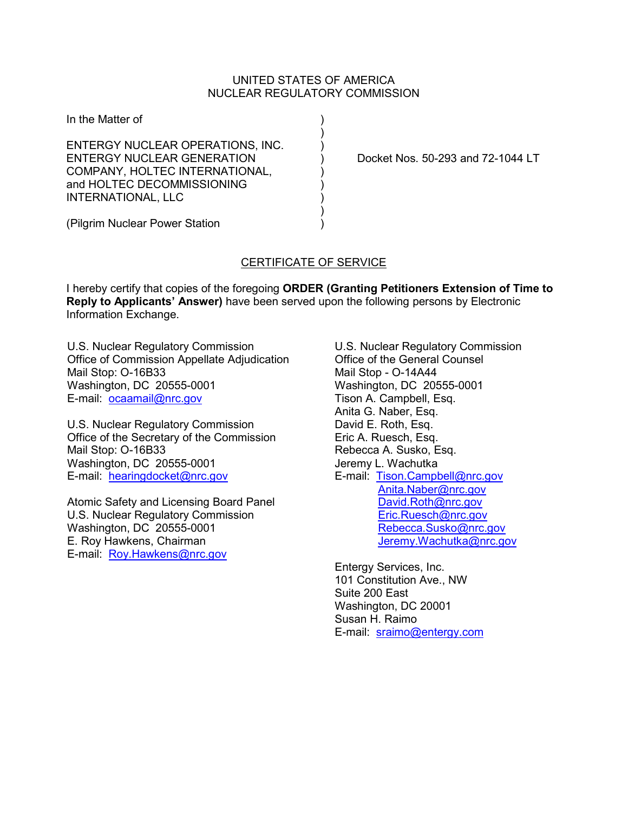## UNITED STATES OF AMERICA NUCLEAR REGULATORY COMMISSION

| In the Matter of                                                                                                                      |  |
|---------------------------------------------------------------------------------------------------------------------------------------|--|
| ENTERGY NUCLEAR OPERATIONS, INC.<br><b>ENTERGY NUCLEAR GENERATION</b><br>COMPANY, HOLTEC INTERNATIONAL,<br>and HOLTEC DECOMMISSIONING |  |
| <b>INTERNATIONAL, LLC</b><br>(Pilgrim Nuclear Power Station)                                                                          |  |

Docket Nos. 50-293 and 72-1044 LT

## CERTIFICATE OF SERVICE

I hereby certify that copies of the foregoing **ORDER (Granting Petitioners Extension of Time to Reply to Applicants' Answer)** have been served upon the following persons by Electronic Information Exchange.

U.S. Nuclear Regulatory Commission Office of Commission Appellate Adjudication Mail Stop: O-16B33 Washington, DC 20555-0001 E-mail: [ocaamail@nrc.gov](mailto:ocaamail@nrc.gov)

U.S. Nuclear Regulatory Commission Office of the Secretary of the Commission Mail Stop: O-16B33 Washington, DC 20555-0001 E-mail: [hearingdocket@nrc.gov](mailto:hearingdocket@nrc.gov)

Atomic Safety and Licensing Board Panel U.S. Nuclear Regulatory Commission Washington, DC 20555-0001 E. Roy Hawkens, Chairman E-mail: [Roy.Hawkens@nrc.gov](mailto:Roy.Hawkens@nrc.gov)

U.S. Nuclear Regulatory Commission Office of the General Counsel Mail Stop - O-14A44 Washington, DC 20555-0001 Tison A. Campbell, Esq. Anita G. Naber, Esq. David E. Roth, Esq. Eric A. Ruesch, Esq. Rebecca A. Susko, Esq. Jeremy L. Wachutka E-mail: [Tison.Campbell@nrc.gov](mailto:Tison.Campbell@nrc.gov) [Anita.Naber@nrc.gov](mailto:Anita.Naber@nrc.gov) [David.Roth@nrc.gov](mailto:David.Roth@nrc.gov) [Eric.Ruesch@nrc.gov](mailto:Eric.Ruesch@nrc.gov) [Rebecca.Susko@nrc.gov](mailto:Rebecca.Susko@nrc.gov) [Jeremy.Wachutka@nrc.gov](mailto:Jeremy.Wachutka@nrc.gov)

Entergy Services, Inc. 101 Constitution Ave., NW Suite 200 East Washington, DC 20001 Susan H. Raimo E-mail: [sraimo@entergy.com](mailto:sraimo@entergy.com)